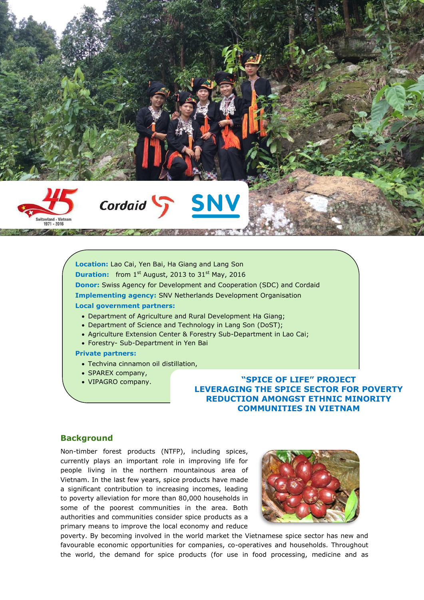

# Cordaid SNV

**Location:** Lao Cai, Yen Bai, Ha Giang and Lang Son **Duration:** from 1<sup>st</sup> August, 2013 to 31<sup>st</sup> May, 2016 **Donor:** Swiss Agency for Development and Cooperation (SDC) and Cordaid **Implementing agency:** SNV Netherlands Development Organisation **Local government partners:** 

- Department of Agriculture and Rural Development Ha Giang;
- Department of Science and Technology in Lang Son (DoST);
- Agriculture Extension Center & Forestry Sub-Department in Lao Cai;
- Forestry- Sub-Department in Yen Bai

#### **Private partners:**

- Techvina cinnamon oil distillation,
- SPAREX company,
- 

 VIPAGRO company. **"SPICE OF LIFE" PROJECT LEVERAGING THE SPICE SECTOR FOR POVERTY REDUCTION AMONGST ETHNIC MINORITY COMMUNITIES IN VIETNAM**

# **Background**

Non-timber forest products (NTFP), including spices, currently plays an important role in improving life for people living in the northern mountainous area of Vietnam. In the last few years, spice products have made a significant contribution to increasing incomes, leading to poverty alleviation for more than 80,000 households in some of the poorest communities in the area. Both authorities and communities consider spice products as a primary means to improve the local economy and reduce



poverty. By becoming involved in the world market the Vietnamese spice sector has new and favourable economic opportunities for companies, co-operatives and households. Throughout the world, the demand for spice products (for use in food processing, medicine and as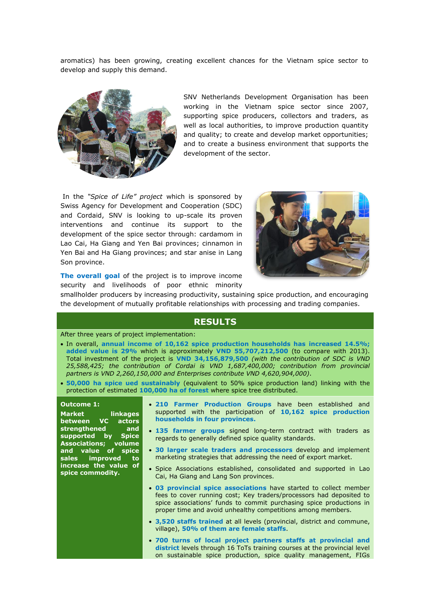aromatics) has been growing, creating excellent chances for the Vietnam spice sector to develop and supply this demand.



SNV Netherlands Development Organisation has been working in the Vietnam spice sector since 2007, supporting spice producers, collectors and traders, as well as local authorities, to improve production quantity and quality; to create and develop market opportunities; and to create a business environment that supports the development of the sector.

In the *"Spice of Life" project* which is sponsored by Swiss Agency for Development and Cooperation (SDC) and Cordaid, SNV is looking to up-scale its proven interventions and continue its support to the development of the spice sector through: cardamom in Lao Cai, Ha Giang and Yen Bai provinces; cinnamon in Yen Bai and Ha Giang provinces; and star anise in Lang Son province.



**The overall goal** of the project is to improve income security and livelihoods of poor ethnic minority

smallholder producers by increasing productivity, sustaining spice production, and encouraging the development of mutually profitable relationships with processing and trading companies.

## **RESULTS**

#### After three years of project implementation:

- In overall, **annual income of 10,162 spice production households has increased 14.5%; added value is 29%** which is approximately **VND 55,707,212,500** (to compare with 2013). Total investment of the project is **VND 34,156,879,500** *(with the contribution of SDC is VND 25,588,425; the contribution of Cordai is VND 1,687,400,000; contribution from provincial partners is VND 2,260,150,000 and Enterprises contribute VND 4,620,904,000)*.
- **50,000 ha spice ued sustainably** (equivalent to 50% spice production land) linking with the protection of estimated **100,000 ha of forest** where spice tree distributed.

#### **Outcome 1:**

**Market linkages between VC actors strengthened and supported by Spice Associations; volume and value of spice sales improved to increase the value of spice commodity.**

- **210 Farmer Production Groups** have been established and supported with the participation of **10,162 spice production households in four provinces.**
- **135 farmer groups** signed long-term contract with traders as regards to generally defined spice quality standards.
- **30 larger scale traders and processors** develop and implement marketing strategies that addressing the need of export market.
- Spice Associations established, consolidated and supported in Lao Cai, Ha Giang and Lang Son provinces.
- **03 provincial spice associations** have started to collect member fees to cover running cost; Key traders/processors had deposited to spice associations' funds to commit purchasing spice productions in proper time and avoid unhealthy competitions among members.
- **3,520 staffs trained** at all levels (provincial, district and commune, village), **50% of them are female staffs**.
- **700 turns of local project partners staffs at provincial and district** levels through 16 ToTs training courses at the provincial level on sustainable spice production, spice quality management, FIGs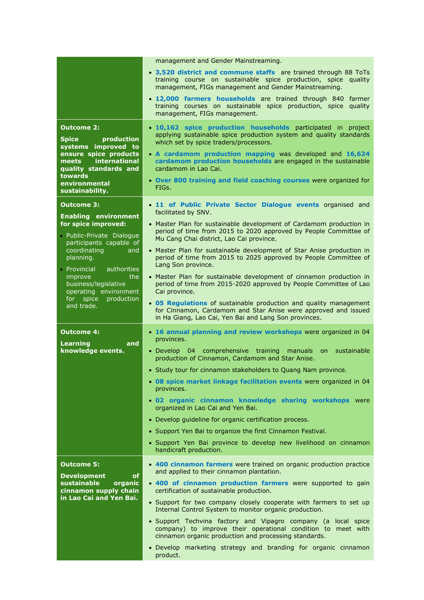|                                                                                                                                                                                                       | management and Gender Mainstreaming.                                                                                                                                                                                                                                                                                                                                                                            |
|-------------------------------------------------------------------------------------------------------------------------------------------------------------------------------------------------------|-----------------------------------------------------------------------------------------------------------------------------------------------------------------------------------------------------------------------------------------------------------------------------------------------------------------------------------------------------------------------------------------------------------------|
|                                                                                                                                                                                                       | • 3,520 district and commune staffs are trained through 88 ToTs<br>training course on sustainable spice production, spice quality<br>management, FIGs management and Gender Mainstreaming.                                                                                                                                                                                                                      |
|                                                                                                                                                                                                       | • 12,000 farmers households are trained through 840 farmer<br>training courses on sustainable spice production, spice quality<br>management, FIGs management.                                                                                                                                                                                                                                                   |
| <b>Outcome 2:</b><br><b>Spice</b><br>production<br>systems improved to<br>ensure spice products<br>international<br>meets and<br>quality standards and<br>towards<br>environmental<br>sustainability. | · 10,162 spice production households participated in project<br>applying sustainable spice production system and quality standards<br>which set by spice traders/processors.<br>• A cardamom production mapping was developed and 16,624<br>cardamom production households are engaged in the sustainable<br>cardamom in Lao Cai.<br>• Over 800 training and field coaching courses were organized for<br>FIGs. |
| <b>Outcome 3:</b>                                                                                                                                                                                     | • 11 of Public Private Sector Dialogue events organised and                                                                                                                                                                                                                                                                                                                                                     |
| <b>Enabling environment</b><br>for spice improved:<br>· Public-Private Dialogue                                                                                                                       | facilitated by SNV.<br>• Master Plan for sustainable development of Cardamom production in<br>period of time from 2015 to 2020 approved by People Committee of                                                                                                                                                                                                                                                  |
| participants capable of<br>coordinating<br>and<br>planning.<br>• Provincial<br>authorities                                                                                                            | Mu Cang Chai district, Lao Cai province.<br>• Master Plan for sustainable development of Star Anise production in<br>period of time from 2015 to 2025 approved by People Committee of<br>Lang Son province.                                                                                                                                                                                                     |
| improve<br>the<br>business/legislative<br>operating environment<br>production<br>for spice                                                                                                            | • Master Plan for sustainable development of cinnamon production in<br>period of time from 2015-2020 approved by People Committee of Lao<br>Cai province.                                                                                                                                                                                                                                                       |
| and trade.                                                                                                                                                                                            | • 05 Regulations of sustainable production and quality management<br>for Cinnamon, Cardamom and Star Anise were approved and issued<br>in Ha Giang, Lao Cai, Yen Bai and Lang Son provinces.                                                                                                                                                                                                                    |
|                                                                                                                                                                                                       |                                                                                                                                                                                                                                                                                                                                                                                                                 |
| <b>Outcome 4:</b>                                                                                                                                                                                     | • 16 annual planning and review workshops were organized in 04                                                                                                                                                                                                                                                                                                                                                  |
| <b>Learning</b><br>and<br>knowledge events.                                                                                                                                                           | provinces.<br>• Develop 04 comprehensive training manuals<br>sustainable<br><b>on</b><br>production of Cinnamon, Cardamom and Star Anise.                                                                                                                                                                                                                                                                       |
|                                                                                                                                                                                                       | • Study tour for cinnamon stakeholders to Quang Nam province.                                                                                                                                                                                                                                                                                                                                                   |
|                                                                                                                                                                                                       | . 08 spice market linkage facilitation events were organized in 04<br>provinces.                                                                                                                                                                                                                                                                                                                                |
|                                                                                                                                                                                                       | . 02 organic cinnamon knowledge sharing workshops were<br>organized in Lao Cai and Yen Bai.                                                                                                                                                                                                                                                                                                                     |
|                                                                                                                                                                                                       | • Develop guideline for organic certification process.                                                                                                                                                                                                                                                                                                                                                          |
|                                                                                                                                                                                                       | • Support Yen Bai to organize the first Cinnamon Festival.                                                                                                                                                                                                                                                                                                                                                      |
|                                                                                                                                                                                                       | • Support Yen Bai province to develop new livelihood on cinnamon<br>handicraft production.                                                                                                                                                                                                                                                                                                                      |
| <b>Outcome 5:</b><br><b>Development</b><br>of                                                                                                                                                         | • 400 cinnamon farmers were trained on organic production practice<br>and applied to their cinnamon plantation.                                                                                                                                                                                                                                                                                                 |
| sustainable<br>organic<br>cinnamon supply chain                                                                                                                                                       | • 400 of cinnamon production farmers were supported to gain<br>certification of sustainable production.                                                                                                                                                                                                                                                                                                         |
| in Lao Cai and Yen Bai.                                                                                                                                                                               | • Support for two company closely cooperate with farmers to set up<br>Internal Control System to monitor organic production.                                                                                                                                                                                                                                                                                    |
|                                                                                                                                                                                                       | · Support Techvina factory and Vipagro company (a local spice<br>company) to improve their operational condition to meet with<br>cinnamon organic production and processing standards.                                                                                                                                                                                                                          |